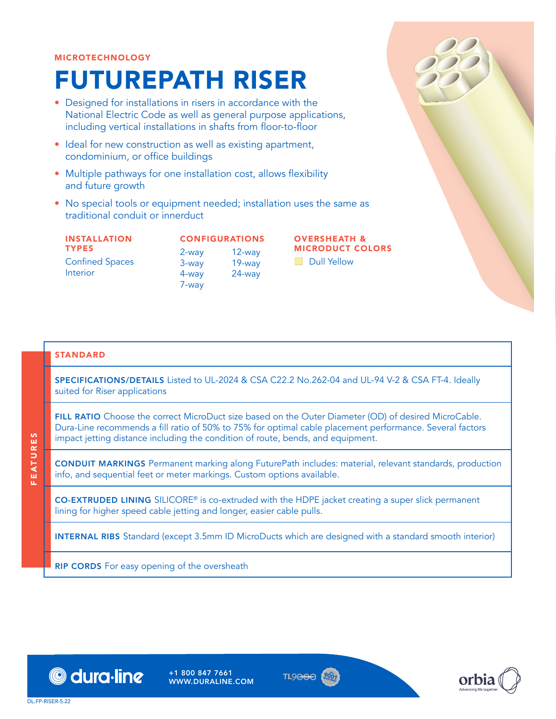#### MICROTECHNOLOGY

# FUTUREPATH RISER

- Designed for installations in risers in accordance with the National Electric Code as well as general purpose applications, including vertical installations in shafts from floor-to-floor
- Ideal for new construction as well as existing apartment, condominium, or office buildings
- Multiple pathways for one installation cost, allows flexibility and future growth
- No special tools or equipment needed; installation uses the same as traditional conduit or innerduct

| <b>INSTALLATION</b>                |
|------------------------------------|
| <b>TYPES</b>                       |
| <b>Confined Spaces</b><br>Interior |

CONFIGURATIONS 2-way 3-way 4-way 7-way 12-way 19-way 24-way

OVERSHEATH & MICRODUCT COLORS

**E** Dull Yellow

#### STANDARD

SPECIFICATIONS/DETAILS Listed to UL-2024 & CSA C22.2 No.262-04 and UL-94 V-2 & CSA FT-4. Ideally suited for Riser applications

FILL RATIO Choose the correct MicroDuct size based on the Outer Diameter (OD) of desired MicroCable. Dura-Line recommends a fill ratio of 50% to 75% for optimal cable placement performance. Several factors impact jetting distance including the condition of route, bends, and equipment.

CONDUIT MARKINGS Permanent marking along FuturePath includes: material, relevant standards, production info, and sequential feet or meter markings. Custom options available.

CO-EXTRUDED LINING SILICORE® is co-extruded with the HDPE jacket creating a super slick permanent lining for higher speed cable jetting and longer, easier cable pulls.

INTERNAL RIBS Standard (except 3.5mm ID MicroDucts which are designed with a standard smooth interior)

**RIP CORDS** For easy opening of the oversheath



+1 800 847 7661 WWW.DURALINE.COM





FEATURES

**FEATURES**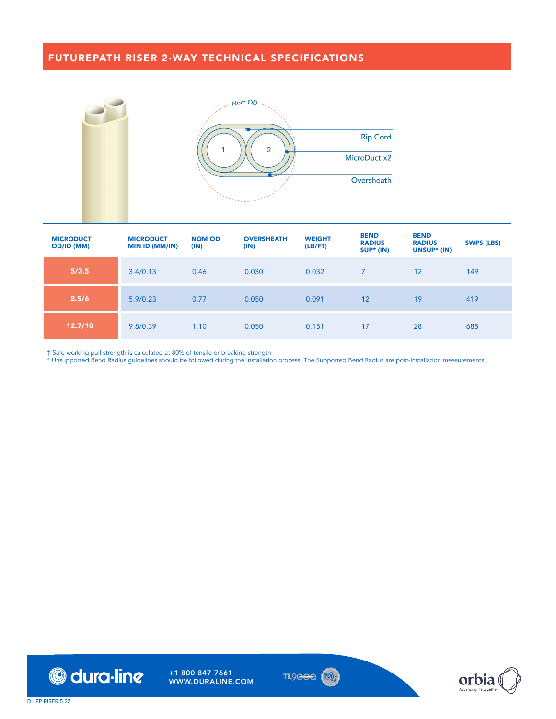## FUTUREPATH RISER 2-WAY TECHNICAL SPECIFICATIONS





| <b>MICRODUCT</b><br><b>OD/ID (MM)</b> | <b>MICRODUCT</b><br><b>MIN ID (MM/IN)</b> | <b>NOM OD</b><br>(IN) | <b>OVERSHEATH</b><br>(IN) | <b>WEIGHT</b><br>(LB/FT) | <b>BEND</b><br><b>RADIUS</b><br>$SUP* (IN)$ | <b>BEND</b><br><b>RADIUS</b><br>UNSUP* (IN) | <b>SWPS (LBS)</b> |
|---------------------------------------|-------------------------------------------|-----------------------|---------------------------|--------------------------|---------------------------------------------|---------------------------------------------|-------------------|
| 5/3.5                                 | 3.4/0.13                                  | 0.46                  | 0.030                     | 0.032                    | $\overline{7}$                              | 12                                          | 149               |
| 8.5/6                                 | 5.9/0.23                                  | 0.77                  | 0.050                     | 0.091                    | 12                                          | 19                                          | 419               |
| 12.7/10                               | 9.8/0.39                                  | 1.10                  | 0.050                     | 0.151                    | 17                                          | 28                                          | 685               |

† Safe working pull strength is calculated at 80% of tensile or breaking strength

\* Unsupported Bend Radius guidelines should be followed during the installation process. The Supported Bend Radius are post-installation measurements.





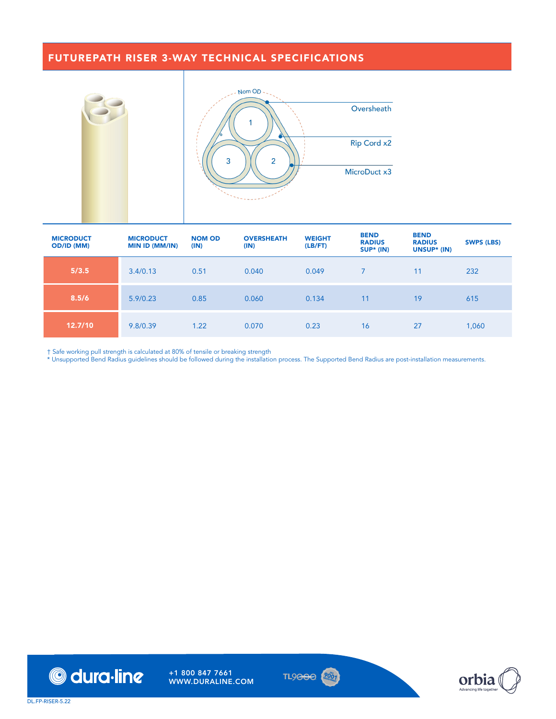## FUTUREPATH RISER 3-WAY TECHNICAL SPECIFICATIONS





| <b>MICRODUCT</b><br><b>OD/ID (MM)</b> | <b>MICRODUCT</b><br><b>MIN ID (MM/IN)</b> | <b>NOM OD</b><br>(IN) | <b>OVERSHEATH</b><br>(IN) | <b>WEIGHT</b><br>(LB/FT) | <b>BEND</b><br><b>RADIUS</b><br>SUP* (IN) | <b>BEND</b><br><b>RADIUS</b><br>UNSUP* (IN) | <b>SWPS (LBS)</b> |
|---------------------------------------|-------------------------------------------|-----------------------|---------------------------|--------------------------|-------------------------------------------|---------------------------------------------|-------------------|
| 5/3.5                                 | 3.4/0.13                                  | 0.51                  | 0.040                     | 0.049                    |                                           | 11                                          | 232               |
| 8.5/6                                 | 5.9/0.23                                  | 0.85                  | 0.060                     | 0.134                    | 11                                        | 19                                          | 615               |
| 12.7/10                               | 9.8/0.39                                  | 1.22                  | 0.070                     | 0.23                     | 16                                        | 27                                          | 1,060             |

† Safe working pull strength is calculated at 80% of tensile or breaking strength

\* Unsupported Bend Radius guidelines should be followed during the installation process. The Supported Bend Radius are post-installation measurements.





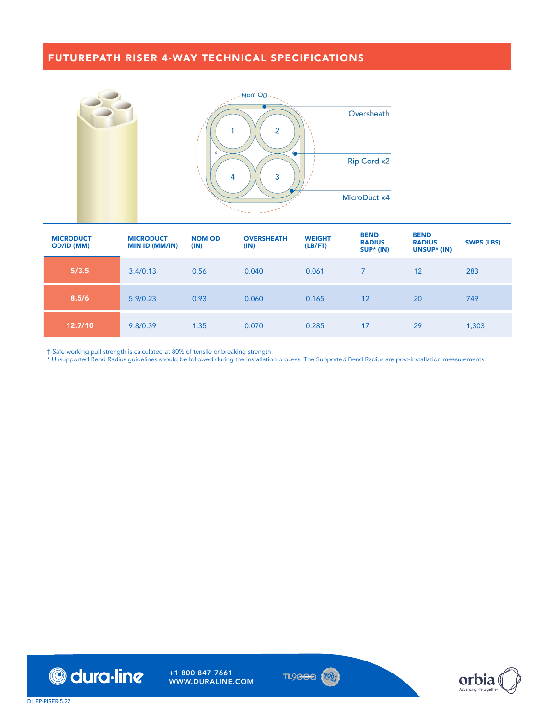#### FUTUREPATH RISER 4-WAY TECHNICAL SPECIFICATIONS





| <b>MICRODUCT</b><br><b>OD/ID (MM)</b> | <b>MICRODUCT</b><br><b>MIN ID (MM/IN)</b> | <b>NOM OD</b><br>(IN) | <b>OVERSHEATH</b><br>(IN) | <b>WEIGHT</b><br>(LB/FT) | <b>BEND</b><br><b>RADIUS</b><br>$SUP* (IN)$ | <b>BEND</b><br><b>RADIUS</b><br>UNSUP* (IN) | <b>SWPS (LBS)</b> |
|---------------------------------------|-------------------------------------------|-----------------------|---------------------------|--------------------------|---------------------------------------------|---------------------------------------------|-------------------|
| 5/3.5                                 | 3.4/0.13                                  | 0.56                  | 0.040                     | 0.061                    |                                             | 12                                          | 283               |
| 8.5/6                                 | 5.9/0.23                                  | 0.93                  | 0.060                     | 0.165                    | 12                                          | 20                                          | 749               |
| 12.7/10                               | 9.8/0.39                                  | 1.35                  | 0.070                     | 0.285                    | 17                                          | 29                                          | 1,303             |

† Safe working pull strength is calculated at 80% of tensile or breaking strength

\* Unsupported Bend Radius guidelines should be followed during the installation process. The Supported Bend Radius are post-installation measurements.





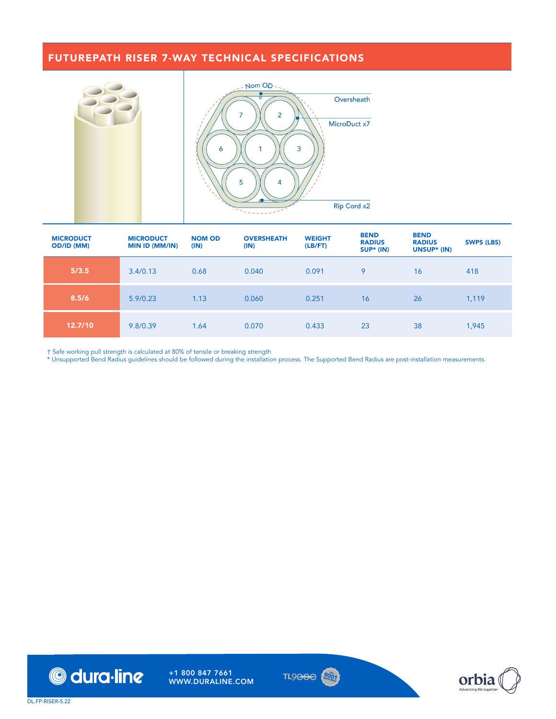#### FUTUREPATH RISER 7-WAY TECHNICAL SPECIFICATIONS



| <b>MICRODUCT</b><br><b>OD/ID (MM)</b> | <b>MICRODUCT</b><br><b>MIN ID (MM/IN)</b> | <b>NOM OD</b><br>(IN) | <b>OVERSHEATH</b><br>(IN) | <b>WEIGHT</b><br>(LB/FT) | <b>BEND</b><br><b>RADIUS</b><br>$SUP* (IN)$ | <b>BEND</b><br><b>RADIUS</b><br>UNSUP* (IN) | <b>SWPS (LBS)</b> |
|---------------------------------------|-------------------------------------------|-----------------------|---------------------------|--------------------------|---------------------------------------------|---------------------------------------------|-------------------|
| 5/3.5                                 | 3.4/0.13                                  | 0.68                  | 0.040                     | 0.091                    | 9                                           | 16                                          | 418               |
| 8.5/6                                 | 5.9/0.23                                  | 1.13                  | 0.060                     | 0.251                    | 16                                          | 26                                          | 1,119             |
| 12.7/10                               | 9.8/0.39                                  | 1.64                  | 0.070                     | 0.433                    | 23                                          | 38                                          | 1,945             |

† Safe working pull strength is calculated at 80% of tensile or breaking strength

\* Unsupported Bend Radius guidelines should be followed during the installation process. The Supported Bend Radius are post-installation measurements.





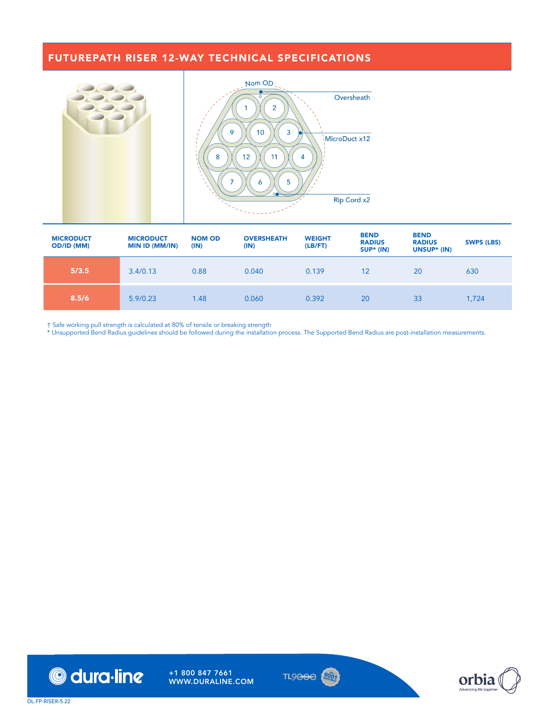# FUTUREPATH RISER 12-WAY TECHNICAL SPECIFICATIONS



| <b>MICRODUCT</b><br><b>OD/ID (MM)</b> | <b>MICRODUCT</b><br><b>MIN ID (MM/IN)</b> | <b>NOM OD</b><br>(IN) | <b>OVERSHEATH</b><br>(IN) | <b>WEIGHT</b><br>(LB/FT) | <b>BEND</b><br><b>RADIUS</b><br>SUP* (IN) | <b>BEND</b><br><b>RADIUS</b><br>UNSUP* (IN) | <b>SWPS (LBS)</b> |
|---------------------------------------|-------------------------------------------|-----------------------|---------------------------|--------------------------|-------------------------------------------|---------------------------------------------|-------------------|
| 5/3.5                                 | 3.4/0.13                                  | 0.88                  | 0.040                     | 0.139                    | 12                                        | 20                                          | 630               |
| 8.5/6                                 | 5.9/0.23                                  | 1.48                  | 0.060                     | 0.392                    | 20                                        | 33                                          | 1,724             |

† Safe working pull strength is calculated at 80% of tensile or breaking strength

\* Unsupported Bend Radius guidelines should be followed during the installation process. The Supported Bend Radius are post-installation measurements.





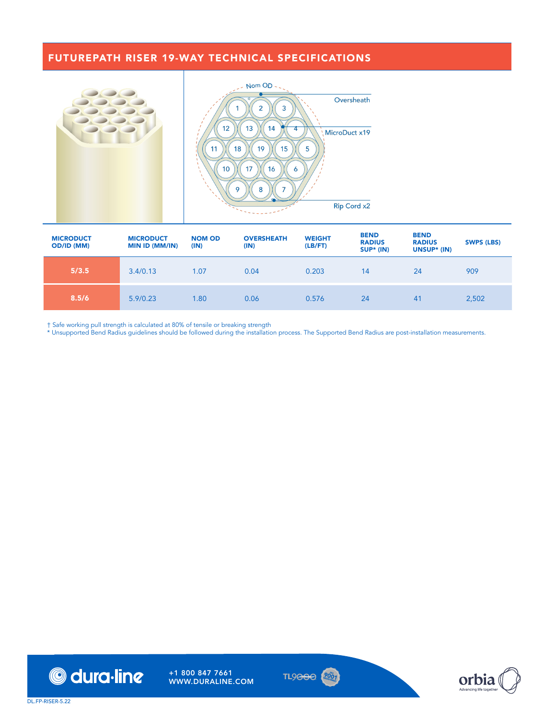# FUTUREPATH RISER 19-WAY TECHNICAL SPECIFICATIONS



| <b>MICRODUCT</b><br><b>OD/ID (MM)</b> | <b>MICRODUCT</b><br><b>MIN ID (MM/IN)</b> | <b>NOM OD</b><br>(IN) | <b>OVERSHEATH</b><br>(IN) | <b>WEIGHT</b><br>(LB/FT) | <b>BEND</b><br><b>RADIUS</b><br>SUP* (IN) | <b>BEND</b><br><b>RADIUS</b><br>UNSUP* (IN) | <b>SWPS (LBS)</b> |
|---------------------------------------|-------------------------------------------|-----------------------|---------------------------|--------------------------|-------------------------------------------|---------------------------------------------|-------------------|
| 5/3.5                                 | 3.4/0.13                                  | 1.07                  | 0.04                      | 0.203                    | 14                                        | 24                                          | 909               |
| 8.5/6                                 | 5.9/0.23                                  | 1.80                  | 0.06                      | 0.576                    | 24                                        | 41                                          | 2,502             |

† Safe working pull strength is calculated at 80% of tensile or breaking strength

\* Unsupported Bend Radius guidelines should be followed during the installation process. The Supported Bend Radius are post-installation measurements.